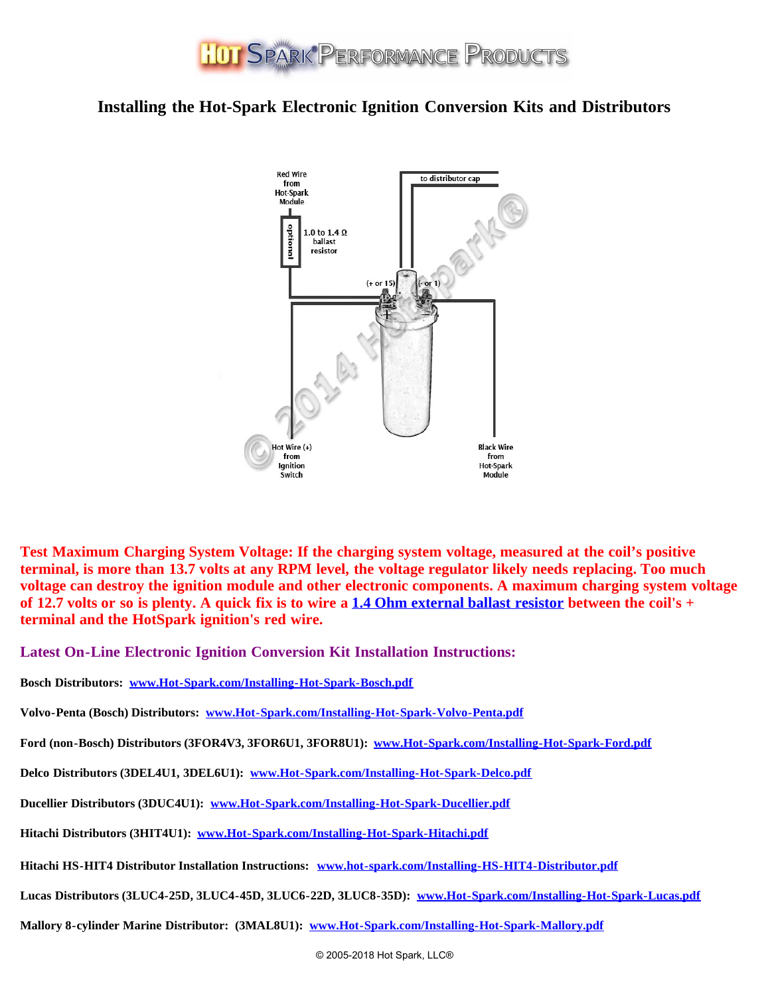

## **Installing the Hot-Spark Electronic Ignition Conversion Kits and Distributors**



**Test Maximum Charging System Voltage: If the charging system voltage, measured at the coil's positive terminal, is more than 13.7 volts at any RPM level, the voltage regulator likely needs replacing. Too much voltage can destroy the ignition module and other electronic components. A maximum charging system voltage of 12.7 volts or so is plenty. A quick fix is to wire a [1.4 Ohm external ballast resistor](https://www.hot-spark.com/1-HS14BR.htm) between the coil's + terminal and the HotSpark ignition's red wire.**

**Latest On-Line Electronic Ignition Conversion Kit Installation Instructions:**

**Bosch Distributors: [www.Hot-Spark.com/Installing-Hot-Spark-Bosch.pdf](https://www.hot-spark.com/Installing-Hot-Spark-Bosch.pdf)**

**Volvo-Penta (Bosch) Distributors: [www.Hot-Spark.com/Installing-Hot-Spark-Volvo-Penta.pdf](https://www.hot-spark.com/Installing-Hot-Spark-Volvo-Penta.pdf)**

**Ford (non-Bosch) Distributors (3FOR4V3, 3FOR6U1, 3FOR8U1): [www.Hot-Spark.com/Installing-Hot-Spark-Ford.pdf](https://www.hot-spark.com/Installing-Hot-Spark-Ford.pdf)**

**Delco Distributors (3DEL4U1, 3DEL6U1): [www.Hot-Spark.com/Installing-Hot-Spark-Delco.pdf](https://www.hot-spark.com/Installing-Hot-Spark-Delco.pdf)**

**Ducellier Distributors (3DUC4U1): [www.Hot-Spark.com/Installing-Hot-Spark-Ducellier.pdf](https://www.hot-spark.com/Installing-Hot-Spark-Ducellier.pdf)**

**Hitachi Distributors (3HIT4U1): [www.Hot-Spark.com/Installing-Hot-Spark-Hitachi.pdf](https://www.hot-spark.com/Installing-Hot-Spark-Hitachi.pdf)**

**Hitachi HS-HIT4 Distributor Installation Instructions: [www.hot-spark.com/Installing-HS-HIT4-Distributor.pdf](https://www.hot-spark.com/Installing-HS-HIT4-Distributor.pdf)**

**Lucas Distributors (3LUC4-25D, 3LUC4-45D, 3LUC6-22D, 3LUC8-35D): [www.Hot-Spark.com/Installing-Hot-Spark-Lucas.pdf](https://www.hot-spark.com/Installing-Hot-Spark-Lucas.pdf)**

**Mallory 8-cylinder Marine Distributor: (3MAL8U1): [www.Hot-Spark.com/Installing-Hot-Spark-Mallory.pdf](https://www.hot-spark.com/Installing-Hot-Spark-Mallory.pdf)**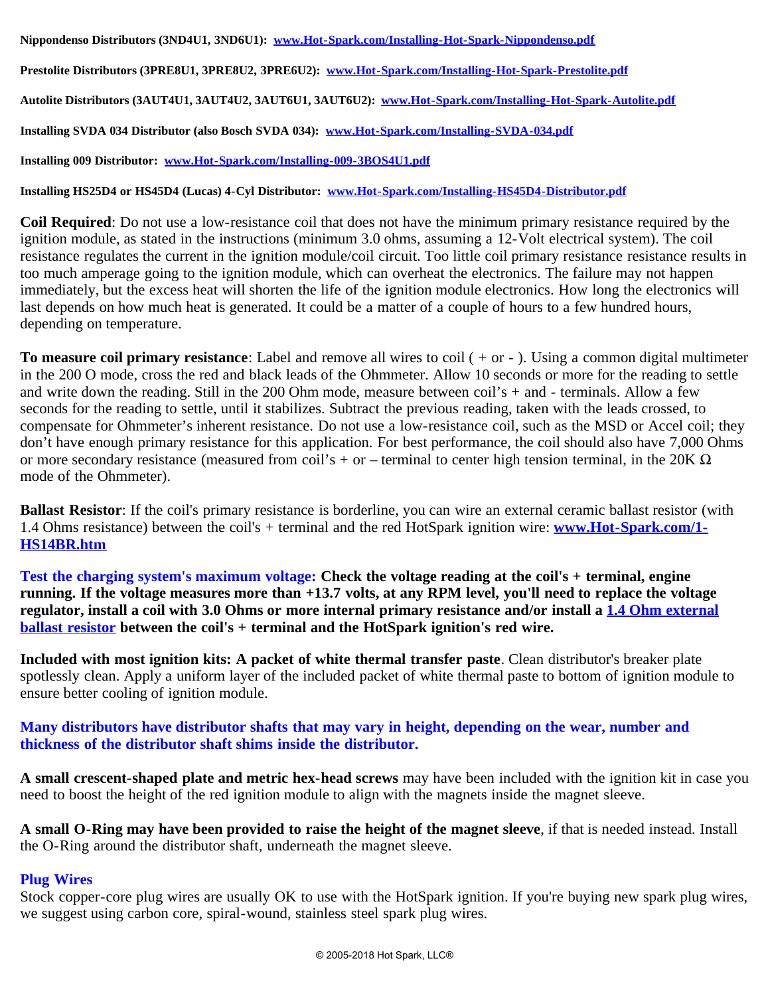**Prestolite Distributors (3PRE8U1, 3PRE8U2, 3PRE6U2): [www.Hot-Spark.com/Installing-Hot-Spark-Prestolite.pdf](https://www.hot-spark.com/Installing-Hot-Spark-Prestolite.pdf)**

**Autolite Distributors (3AUT4U1, 3AUT4U2, 3AUT6U1, 3AUT6U2): [www.Hot-Spark.com/Installing-Hot-Spark-Autolite.pdf](https://www.hot-spark.com/Installing-Hot-Spark-Autolite.pdf)**

**Installing SVDA 034 Distributor (also Bosch SVDA 034): [www.Hot-Spark.com/Installing-SVDA-034.pdf](https://www.hot-spark.com/Installing-SVDA-034.pdf)**

**Installing 009 Distributor: [www.Hot-Spark.com/Installing-009-3BOS4U1.pdf](https://www.hot-spark.com/Installing-009-3BOS4U1.pdf)**

**Installing HS25D4 or HS45D4 (Lucas) 4-Cyl Distributor: [www.Hot-Spark.com/Installing-HS45D4-Distributor.pdf](https://www.hot-spark.com/Installing-HS45D4-Distributor.pdf)**

**Coil Required**: Do not use a low-resistance coil that does not have the minimum primary resistance required by the ignition module, as stated in the instructions (minimum 3.0 ohms, assuming a 12-Volt electrical system). The coil resistance regulates the current in the ignition module/coil circuit. Too little coil primary resistance resistance results in too much amperage going to the ignition module, which can overheat the electronics. The failure may not happen immediately, but the excess heat will shorten the life of the ignition module electronics. How long the electronics will last depends on how much heat is generated. It could be a matter of a couple of hours to a few hundred hours, depending on temperature.

**To measure coil primary resistance**: Label and remove all wires to coil ( + or - ). Using a common digital multimeter in the 200 O mode, cross the red and black leads of the Ohmmeter. Allow 10 seconds or more for the reading to settle and write down the reading. Still in the 200 Ohm mode, measure between coil's  $+$  and  $-$  terminals. Allow a few seconds for the reading to settle, until it stabilizes. Subtract the previous reading, taken with the leads crossed, to compensate for Ohmmeter's inherent resistance. Do not use a low-resistance coil, such as the MSD or Accel coil; they don't have enough primary resistance for this application. For best performance, the coil should also have 7,000 Ohms or more secondary resistance (measured from coil's + or – terminal to center high tension terminal, in the 20K  $\Omega$ mode of the Ohmmeter).

**Ballast Resistor**: If the coil's primary resistance is borderline, you can wire an external ceramic ballast resistor (with 1.4 Ohms resistance) between the coil's + terminal and the red HotSpark ignition wire: **[www.Hot-Spark.com/1-](https://www.hot-spark.com/1-HS14BR.htm) [HS14BR.htm](https://www.hot-spark.com/1-HS14BR.htm)**

**Test the charging system's maximum voltage: Check the voltage reading at the coil's + terminal, engine running. If the voltage measures more than +13.7 volts, at any RPM level, you'll need to replace the voltage regulator, install a coil with 3.0 Ohms or more internal primary resistance and/or install a [1.4 Ohm external](https://www.hot-spark.com/1-HS14BR.htm) [ballast resistor](https://www.hot-spark.com/1-HS14BR.htm) between the coil's + terminal and the HotSpark ignition's red wire.**

**Included with most ignition kits: A packet of white thermal transfer paste**. Clean distributor's breaker plate spotlessly clean. Apply a uniform layer of the included packet of white thermal paste to bottom of ignition module to ensure better cooling of ignition module.

**Many distributors have distributor shafts that may vary in height, depending on the wear, number and thickness of the distributor shaft shims inside the distributor.**

**A small crescent-shaped plate and metric hex-head screws** may have been included with the ignition kit in case you need to boost the height of the red ignition module to align with the magnets inside the magnet sleeve.

**A small O-Ring may have been provided to raise the height of the magnet sleeve**, if that is needed instead. Install the O-Ring around the distributor shaft, underneath the magnet sleeve.

## **Plug Wires**

Stock copper-core plug wires are usually OK to use with the HotSpark ignition. If you're buying new spark plug wires, we suggest using carbon core, spiral-wound, stainless steel spark plug wires.